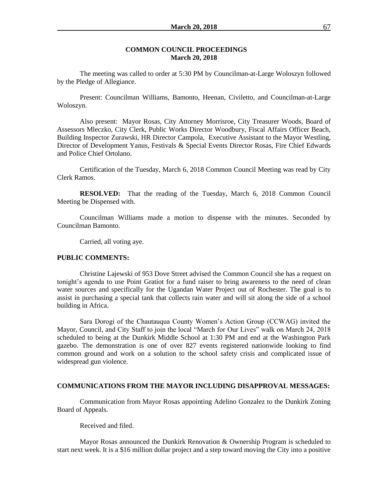#### **COMMON COUNCIL PROCEEDINGS March 20, 2018**

The meeting was called to order at 5:30 PM by Councilman-at-Large Woloszyn followed by the Pledge of Allegiance.

Present: Councilman Williams, Bamonto, Heenan, Civiletto, and Councilman-at-Large Woloszyn.

Also present: Mayor Rosas, City Attorney Morrisroe, City Treasurer Woods, Board of Assessors Mleczko, City Clerk, Public Works Director Woodbury, Fiscal Affairs Officer Beach, Building Inspector Zurawski, HR Director Campola, Executive Assistant to the Mayor Westling, Director of Development Yanus, Festivals & Special Events Director Rosas, Fire Chief Edwards and Police Chief Ortolano.

Certification of the Tuesday, March 6, 2018 Common Council Meeting was read by City Clerk Ramos.

**RESOLVED:** That the reading of the Tuesday, March 6, 2018 Common Council Meeting be Dispensed with.

Councilman Williams made a motion to dispense with the minutes. Seconded by Councilman Bamonto.

Carried, all voting aye.

### **PUBLIC COMMENTS:**

Christine Lajewski of 953 Dove Street advised the Common Council she has a request on tonight's agenda to use Point Gratiot for a fund raiser to bring awareness to the need of clean water sources and specifically for the Ugandan Water Project out of Rochester. The goal is to assist in purchasing a special tank that collects rain water and will sit along the side of a school building in Africa.

Sara Dorogi of the Chautauqua County Women's Action Group (CCWAG) invited the Mayor, Council, and City Staff to join the local "March for Our Lives" walk on March 24, 2018 scheduled to being at the Dunkirk Middle School at 1:30 PM and end at the Washington Park gazebo. The demonstration is one of over 827 events registered nationwide looking to find common ground and work on a solution to the school safety crisis and complicated issue of widespread gun violence.

### **COMMUNICATIONS FROM THE MAYOR INCLUDING DISAPPROVAL MESSAGES:**

Communication from Mayor Rosas appointing Adelino Gonzalez to the Dunkirk Zoning Board of Appeals.

Received and filed.

Mayor Rosas announced the Dunkirk Renovation & Ownership Program is scheduled to start next week. It is a \$16 million dollar project and a step toward moving the City into a positive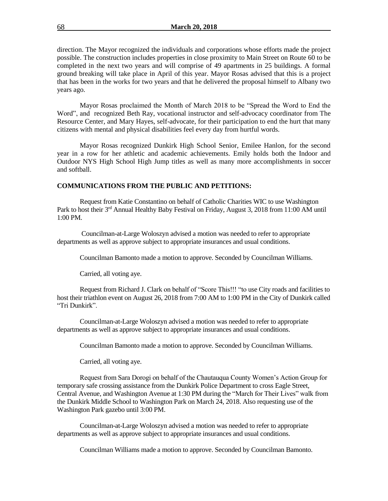direction. The Mayor recognized the individuals and corporations whose efforts made the project possible. The construction includes properties in close proximity to Main Street on Route 60 to be completed in the next two years and will comprise of 49 apartments in 25 buildings. A formal ground breaking will take place in April of this year. Mayor Rosas advised that this is a project that has been in the works for two years and that he delivered the proposal himself to Albany two years ago.

Mayor Rosas proclaimed the Month of March 2018 to be "Spread the Word to End the Word", and recognized Beth Ray, vocational instructor and self-advocacy coordinator from The Resource Center, and Mary Hayes, self-advocate, for their participation to end the hurt that many citizens with mental and physical disabilities feel every day from hurtful words.

Mayor Rosas recognized Dunkirk High School Senior, Emilee Hanlon, for the second year in a row for her athletic and academic achievements. Emily holds both the Indoor and Outdoor NYS High School High Jump titles as well as many more accomplishments in soccer and softball.

### **COMMUNICATIONS FROM THE PUBLIC AND PETITIONS:**

Request from Katie Constantino on behalf of Catholic Charities WIC to use Washington Park to host their 3<sup>rd</sup> Annual Healthy Baby Festival on Friday, August 3, 2018 from 11:00 AM until 1:00 PM.

Councilman-at-Large Woloszyn advised a motion was needed to refer to appropriate departments as well as approve subject to appropriate insurances and usual conditions.

Councilman Bamonto made a motion to approve. Seconded by Councilman Williams.

Carried, all voting aye.

Request from Richard J. Clark on behalf of "Score This!!! "to use City roads and facilities to host their triathlon event on August 26, 2018 from 7:00 AM to 1:00 PM in the City of Dunkirk called "Tri Dunkirk".

Councilman-at-Large Woloszyn advised a motion was needed to refer to appropriate departments as well as approve subject to appropriate insurances and usual conditions.

Councilman Bamonto made a motion to approve. Seconded by Councilman Williams.

Carried, all voting aye.

Request from Sara Dorogi on behalf of the Chautauqua County Women's Action Group for temporary safe crossing assistance from the Dunkirk Police Department to cross Eagle Street, Central Avenue, and Washington Avenue at 1:30 PM during the "March for Their Lives" walk from the Dunkirk Middle School to Washington Park on March 24, 2018. Also requesting use of the Washington Park gazebo until 3:00 PM.

Councilman-at-Large Woloszyn advised a motion was needed to refer to appropriate departments as well as approve subject to appropriate insurances and usual conditions.

Councilman Williams made a motion to approve. Seconded by Councilman Bamonto.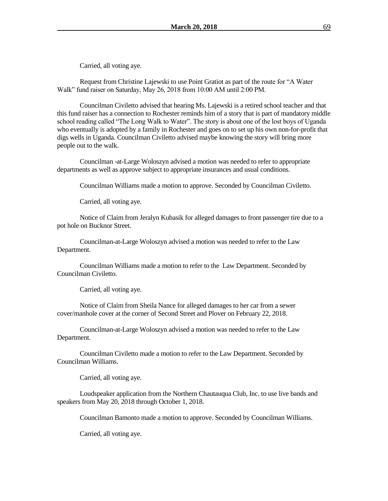Carried, all voting aye.

Request from Christine Lajewski to use Point Gratiot as part of the route for "A Water Walk" fund raiser on Saturday, May 26, 2018 from 10:00 AM until 2:00 PM.

Councilman Civiletto advised that hearing Ms. Lajewski is a retired school teacher and that this fund raiser has a connection to Rochester reminds him of a story that is part of mandatory middle school reading called "The Long Walk to Water". The story is about one of the lost boys of Uganda who eventually is adopted by a family in Rochester and goes on to set up his own non-for-profit that digs wells in Uganda. Councilman Civiletto advised maybe knowing the story will bring more people out to the walk.

Councilman -at-Large Woloszyn advised a motion was needed to refer to appropriate departments as well as approve subject to appropriate insurances and usual conditions.

Councilman Williams made a motion to approve. Seconded by Councilman Civiletto.

Carried, all voting aye.

Notice of Claim from Jeralyn Kubasik for alleged damages to front passenger tire due to a pot hole on Bucknor Street.

Councilman-at-Large Woloszyn advised a motion was needed to refer to the Law Department.

Councilman Williams made a motion to refer to the Law Department. Seconded by Councilman Civiletto.

Carried, all voting aye.

Notice of Claim from Sheila Nance for alleged damages to her car from a sewer cover/manhole cover at the corner of Second Street and Plover on February 22, 2018.

Councilman-at-Large Woloszyn advised a motion was needed to refer to the Law Department.

Councilman Civiletto made a motion to refer to the Law Department. Seconded by Councilman Williams.

Carried, all voting aye.

Loudspeaker application from the Northern Chautauqua Club, Inc. to use live bands and speakers from May 20, 2018 through October 1, 2018.

Councilman Bamonto made a motion to approve. Seconded by Councilman Williams.

Carried, all voting aye.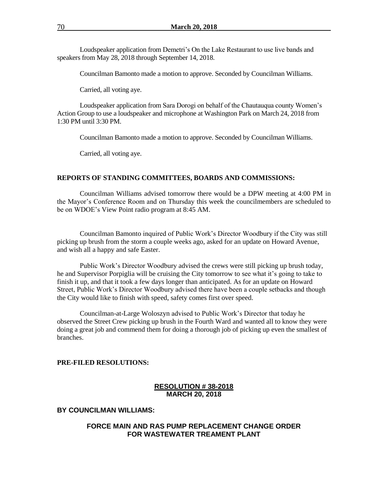Loudspeaker application from Demetri's On the Lake Restaurant to use live bands and speakers from May 28, 2018 through September 14, 2018.

Councilman Bamonto made a motion to approve. Seconded by Councilman Williams.

Carried, all voting aye.

Loudspeaker application from Sara Dorogi on behalf of the Chautauqua county Women's Action Group to use a loudspeaker and microphone at Washington Park on March 24, 2018 from 1:30 PM until 3:30 PM.

Councilman Bamonto made a motion to approve. Seconded by Councilman Williams.

Carried, all voting aye.

### **REPORTS OF STANDING COMMITTEES, BOARDS AND COMMISSIONS:**

Councilman Williams advised tomorrow there would be a DPW meeting at 4:00 PM in the Mayor's Conference Room and on Thursday this week the councilmembers are scheduled to be on WDOE's View Point radio program at 8:45 AM.

Councilman Bamonto inquired of Public Work's Director Woodbury if the City was still picking up brush from the storm a couple weeks ago, asked for an update on Howard Avenue, and wish all a happy and safe Easter.

Public Work's Director Woodbury advised the crews were still picking up brush today, he and Supervisor Porpiglia will be cruising the City tomorrow to see what it's going to take to finish it up, and that it took a few days longer than anticipated. As for an update on Howard Street, Public Work's Director Woodbury advised there have been a couple setbacks and though the City would like to finish with speed, safety comes first over speed.

Councilman-at-Large Woloszyn advised to Public Work's Director that today he observed the Street Crew picking up brush in the Fourth Ward and wanted all to know they were doing a great job and commend them for doing a thorough job of picking up even the smallest of branches.

### **PRE-FILED RESOLUTIONS:**

# **RESOLUTION # 38-2018 MARCH 20, 2018**

### **BY COUNCILMAN WILLIAMS:**

### **FORCE MAIN AND RAS PUMP REPLACEMENT CHANGE ORDER FOR WASTEWATER TREAMENT PLANT**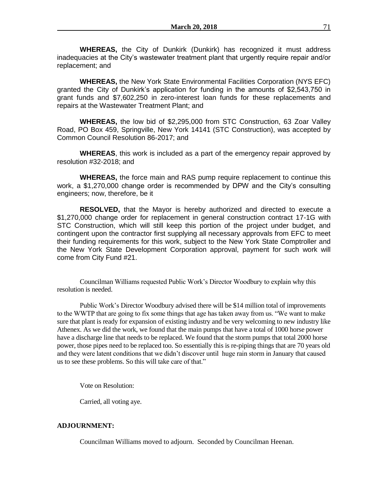**WHEREAS,** the City of Dunkirk (Dunkirk) has recognized it must address inadequacies at the City's wastewater treatment plant that urgently require repair and/or replacement; and

**WHEREAS,** the New York State Environmental Facilities Corporation (NYS EFC) granted the City of Dunkirk's application for funding in the amounts of \$2,543,750 in grant funds and \$7,602,250 in zero-interest loan funds for these replacements and repairs at the Wastewater Treatment Plant; and

**WHEREAS,** the low bid of \$2,295,000 from STC Construction, 63 Zoar Valley Road, PO Box 459, Springville, New York 14141 (STC Construction), was accepted by Common Council Resolution 86-2017; and

**WHEREAS**, this work is included as a part of the emergency repair approved by resolution #32-2018; and

**WHEREAS,** the force main and RAS pump require replacement to continue this work, a \$1,270,000 change order is recommended by DPW and the City's consulting engineers; now, therefore, be it

**RESOLVED,** that the Mayor is hereby authorized and directed to execute a \$1,270,000 change order for replacement in general construction contract 17-1G with STC Construction, which will still keep this portion of the project under budget, and contingent upon the contractor first supplying all necessary approvals from EFC to meet their funding requirements for this work, subject to the New York State Comptroller and the New York State Development Corporation approval, payment for such work will come from City Fund #21.

Councilman Williams requested Public Work's Director Woodbury to explain why this resolution is needed.

Public Work's Director Woodbury advised there will be \$14 million total of improvements to the WWTP that are going to fix some things that age has taken away from us. "We want to make sure that plant is ready for expansion of existing industry and be very welcoming to new industry like Athenex. As we did the work, we found that the main pumps that have a total of 1000 horse power have a discharge line that needs to be replaced. We found that the storm pumps that total 2000 horse power, those pipes need to be replaced too. So essentially this is re-piping things that are 70 years old and they were latent conditions that we didn't discover until huge rain storm in January that caused us to see these problems. So this will take care of that."

Vote on Resolution:

Carried, all voting aye.

## **ADJOURNMENT:**

Councilman Williams moved to adjourn. Seconded by Councilman Heenan.